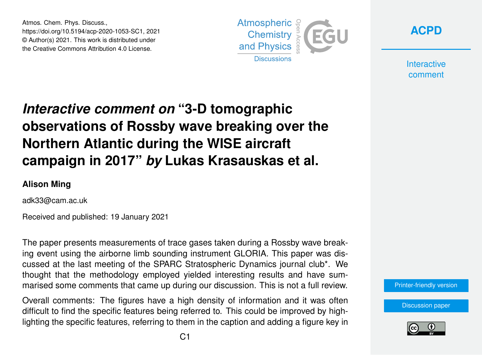Atmos. Chem. Phys. Discuss., https://doi.org/10.5194/acp-2020-1053-SC1, 2021 © Author(s) 2021. This work is distributed under the Creative Commons Attribution 4.0 License.





**Interactive** comment

## *Interactive comment on* **"3-D tomographic observations of Rossby wave breaking over the Northern Atlantic during the WISE aircraft campaign in 2017"** *by* **Lukas Krasauskas et al.**

## **Alison Ming**

adk33@cam.ac.uk

Received and published: 19 January 2021

The paper presents measurements of trace gases taken during a Rossby wave breaking event using the airborne limb sounding instrument GLORIA. This paper was discussed at the last meeting of the SPARC Stratospheric Dynamics journal club\*. We thought that the methodology employed yielded interesting results and have summarised some comments that came up during our discussion. This is not a full review.

Overall comments: The figures have a high density of information and it was often difficult to find the specific features being referred to. This could be improved by highlighting the specific features, referring to them in the caption and adding a figure key in [Printer-friendly version](https://acp.copernicus.org/preprints/acp-2020-1053/acp-2020-1053-SC1-print.pdf)

[Discussion paper](https://acp.copernicus.org/preprints/acp-2020-1053)

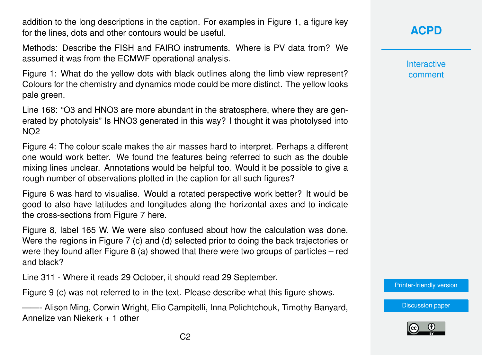addition to the long descriptions in the caption. For examples in Figure 1, a figure key for the lines, dots and other contours would be useful.

Methods: Describe the FISH and FAIRO instruments. Where is PV data from? We assumed it was from the ECMWF operational analysis.

Figure 1: What do the yellow dots with black outlines along the limb view represent? Colours for the chemistry and dynamics mode could be more distinct. The yellow looks pale green.

Line 168: "O3 and HNO3 are more abundant in the stratosphere, where they are generated by photolysis" Is HNO3 generated in this way? I thought it was photolysed into NO2

Figure 4: The colour scale makes the air masses hard to interpret. Perhaps a different one would work better. We found the features being referred to such as the double mixing lines unclear. Annotations would be helpful too. Would it be possible to give a rough number of observations plotted in the caption for all such figures?

Figure 6 was hard to visualise. Would a rotated perspective work better? It would be good to also have latitudes and longitudes along the horizontal axes and to indicate the cross-sections from Figure 7 here.

Figure 8, label 165 W. We were also confused about how the calculation was done. Were the regions in Figure 7 (c) and (d) selected prior to doing the back trajectories or were they found after Figure 8 (a) showed that there were two groups of particles – red and black?

Line 311 - Where it reads 29 October, it should read 29 September.

Figure 9 (c) was not referred to in the text. Please describe what this figure shows.

——- Alison Ming, Corwin Wright, Elio Campitelli, Inna Polichtchouk, Timothy Banyard, Annelize van Niekerk + 1 other

## **[ACPD](https://acp.copernicus.org/preprints/)**

**Interactive** comment

[Printer-friendly version](https://acp.copernicus.org/preprints/acp-2020-1053/acp-2020-1053-SC1-print.pdf)

[Discussion paper](https://acp.copernicus.org/preprints/acp-2020-1053)